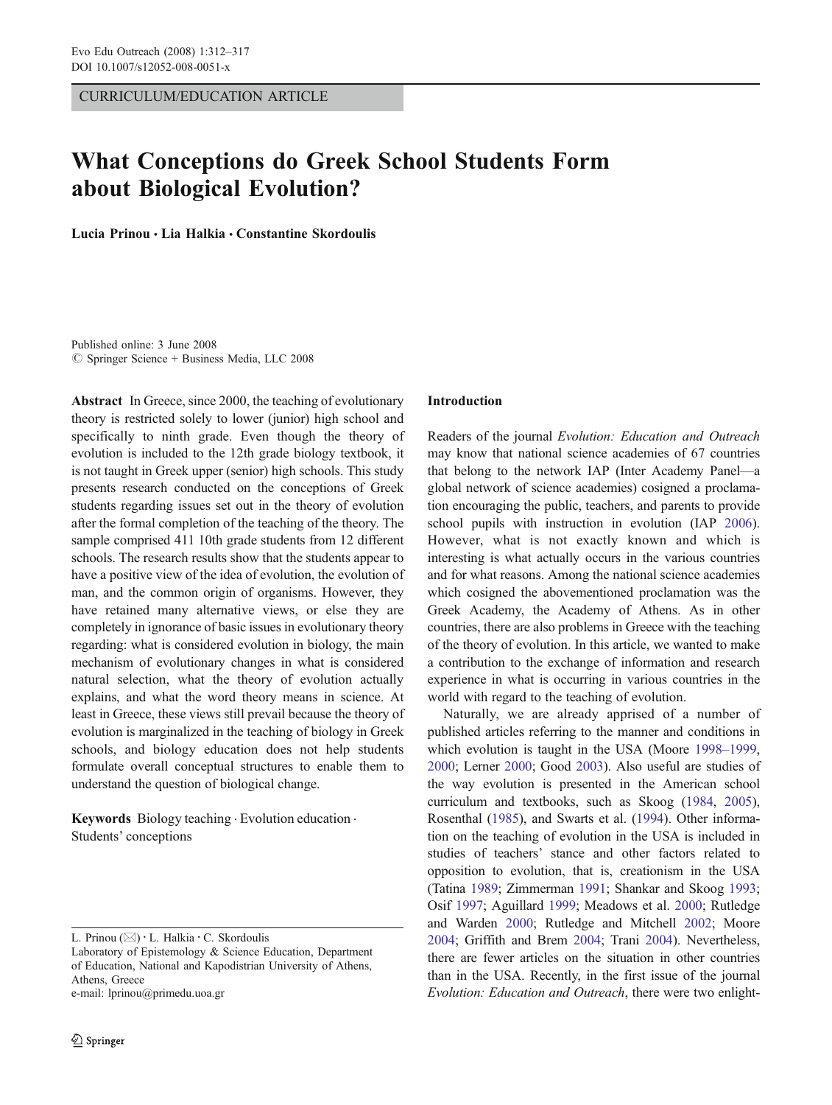CURRICULUM/EDUCATION ARTICLE

# What Conceptions do Greek School Students Form about Biological Evolution?

Lucia Prinou · Lia Halkia · Constantine Skordoulis

Published online: 3 June 2008  $\oslash$  Springer Science + Business Media, LLC 2008

Abstract In Greece, since 2000, the teaching of evolutionary theory is restricted solely to lower (junior) high school and specifically to ninth grade. Even though the theory of evolution is included to the 12th grade biology textbook, it is not taught in Greek upper (senior) high schools. This study presents research conducted on the conceptions of Greek students regarding issues set out in the theory of evolution after the formal completion of the teaching of the theory. The sample comprised 411 10th grade students from 12 different schools. The research results show that the students appear to have a positive view of the idea of evolution, the evolution of man, and the common origin of organisms. However, they have retained many alternative views, or else they are completely in ignorance of basic issues in evolutionary theory regarding: what is considered evolution in biology, the main mechanism of evolutionary changes in what is considered natural selection, what the theory of evolution actually explains, and what the word theory means in science. At least in Greece, these views still prevail because the theory of evolution is marginalized in the teaching of biology in Greek schools, and biology education does not help students formulate overall conceptual structures to enable them to understand the question of biological change.

Keywords Biology teaching . Evolution education . Students' conceptions

 $\mathcal{D}$  Springer

#### Introduction

Readers of the journal Evolution: Education and Outreach may know that national science academies of 67 countries that belong to the network ΙAP (Inter Academy Panel—a global network of science academies) cosigned a proclamation encouraging the public, teachers, and parents to provide school pupils with instruction in evolution (IAP [2006\)](#page-5-0). However, what is not exactly known and which is interesting is what actually occurs in the various countries and for what reasons. Among the national science academies which cosigned the abovementioned proclamation was the Greek Academy, the Academy of Athens. As in other countries, there are also problems in Greece with the teaching of the theory of evolution. In this article, we wanted to make a contribution to the exchange of information and research experience in what is occurring in various countries in the world with regard to the teaching of evolution.

Naturally, we are already apprised of a number of published articles referring to the manner and conditions in which evolution is taught in the USA (Moore 1998–[1999,](#page-5-0) [2000;](#page-5-0) Lerner [2000;](#page-5-0) Good [2003](#page-5-0)). Also useful are studies of the way evolution is presented in the American school curriculum and textbooks, such as Skoog [\(1984,](#page-5-0) [2005\)](#page-5-0), Rosenthal [\(1985\)](#page-5-0), and Swarts et al. ([1994](#page-5-0)). Other information on the teaching of evolution in the USA is included in studies of teachers' stance and other factors related to opposition to evolution, that is, creationism in the USA (Tatina [1989;](#page-5-0) Zimmerman [1991](#page-5-0); Shankar and Skoog [1993;](#page-5-0) Osif [1997;](#page-5-0) Aguillard [1999](#page-4-0); Meadows et al. [2000;](#page-5-0) Rutledge and Warden [2000;](#page-5-0) Rutledge and Mitchell [2002;](#page-5-0) Moore [2004;](#page-5-0) Griffith and Brem [2004](#page-5-0); Trani [2004\)](#page-5-0). Nevertheless, there are fewer articles on the situation in other countries than in the USA. Recently, in the first issue of the journal Evolution: Education and Outreach, there were two enlight-

L. Prinou (*\**) : L. Halkia : C. Skordoulis

Laboratory of Epistemology & Science Education, Department of Education, National and Kapodistrian University of Athens, Athens, Greece e-mail: lprinou@primedu.uoa.gr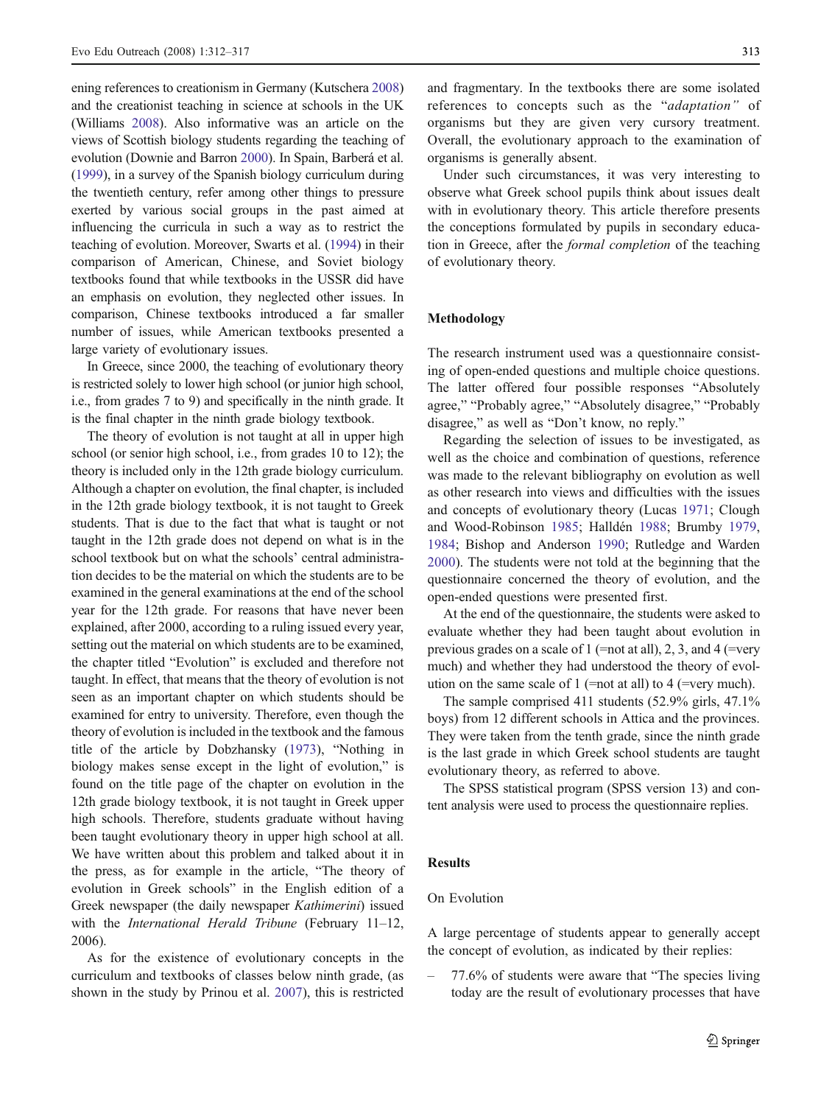ening references to creationism in Germany (Kutschera [2008\)](#page-5-0) and the creationist teaching in science at schools in the UK (Williams [2008\)](#page-5-0). Also informative was an article on the views of Scottish biology students regarding the teaching of evolution (Downie and Barron [2000\)](#page-5-0). In Spain, Barberá et al. [\(1999\)](#page-4-0), in a survey of the Spanish biology curriculum during the twentieth century, refer among other things to pressure exerted by various social groups in the past aimed at influencing the curricula in such a way as to restrict the teaching of evolution. Moreover, Swarts et al. ([1994](#page-5-0)) in their comparison of American, Chinese, and Soviet biology textbooks found that while textbooks in the USSR did have an emphasis on evolution, they neglected other issues. In comparison, Chinese textbooks introduced a far smaller number of issues, while American textbooks presented a large variety of evolutionary issues.

In Greece, since 2000, the teaching of evolutionary theory is restricted solely to lower high school (or junior high school, i.e., from grades 7 to 9) and specifically in the ninth grade. It is the final chapter in the ninth grade biology textbook.

The theory of evolution is not taught at all in upper high school (or senior high school, i.e., from grades 10 to 12); the theory is included only in the 12th grade biology curriculum. Although a chapter on evolution, the final chapter, is included in the 12th grade biology textbook, it is not taught to Greek students. That is due to the fact that what is taught or not taught in the 12th grade does not depend on what is in the school textbook but on what the schools' central administration decides to be the material on which the students are to be examined in the general examinations at the end of the school year for the 12th grade. For reasons that have never been explained, after 2000, according to a ruling issued every year, setting out the material on which students are to be examined, the chapter titled "Evolution" is excluded and therefore not taught. In effect, that means that the theory of evolution is not seen as an important chapter on which students should be examined for entry to university. Therefore, even though the theory of evolution is included in the textbook and the famous title of the article by Dobzhansky ([1973\)](#page-5-0), "Nothing in biology makes sense except in the light of evolution," is found on the title page of the chapter on evolution in the 12th grade biology textbook, it is not taught in Greek upper high schools. Therefore, students graduate without having been taught evolutionary theory in upper high school at all. We have written about this problem and talked about it in the press, as for example in the article, "The theory of evolution in Greek schools" in the English edition of a Greek newspaper (the daily newspaper Kathimerini) issued with the *International Herald Tribune* (February 11–12, 2006).

As for the existence of evolutionary concepts in the curriculum and textbooks of classes below ninth grade, (as shown in the study by Prinou et al. [2007\)](#page-5-0), this is restricted and fragmentary. In the textbooks there are some isolated references to concepts such as the "adaptation" of organisms but they are given very cursory treatment. Overall, the evolutionary approach to the examination of organisms is generally absent.

Under such circumstances, it was very interesting to observe what Greek school pupils think about issues dealt with in evolutionary theory. This article therefore presents the conceptions formulated by pupils in secondary education in Greece, after the formal completion of the teaching of evolutionary theory.

#### Methodology

The research instrument used was a questionnaire consisting of open-ended questions and multiple choice questions. The latter offered four possible responses "Absolutely agree," "Probably agree," "Absolutely disagree," "Probably disagree," as well as "Don't know, no reply."

Regarding the selection of issues to be investigated, as well as the choice and combination of questions, reference was made to the relevant bibliography on evolution as well as other research into views and difficulties with the issues and concepts of evolutionary theory (Lucas [1971](#page-5-0); Clough and Wood-Robinson [1985;](#page-5-0) Halldén [1988](#page-5-0); Brumby [1979,](#page-5-0) [1984](#page-5-0); Bishop and Anderson [1990;](#page-5-0) Rutledge and Warden [2000](#page-5-0)). The students were not told at the beginning that the questionnaire concerned the theory of evolution, and the open-ended questions were presented first.

At the end of the questionnaire, the students were asked to evaluate whether they had been taught about evolution in previous grades on a scale of  $1$  (=not at all), 2, 3, and 4 (=very much) and whether they had understood the theory of evolution on the same scale of 1 (=not at all) to 4 (=very much).

The sample comprised 411 students (52.9% girls, 47.1% boys) from 12 different schools in Attica and the provinces. They were taken from the tenth grade, since the ninth grade is the last grade in which Greek school students are taught evolutionary theory, as referred to above.

The SPSS statistical program (SPSS version 13) and content analysis were used to process the questionnaire replies.

## Results

## On Evolution

A large percentage of students appear to generally accept the concept of evolution, as indicated by their replies:

– 77.6% of students were aware that "The species living today are the result of evolutionary processes that have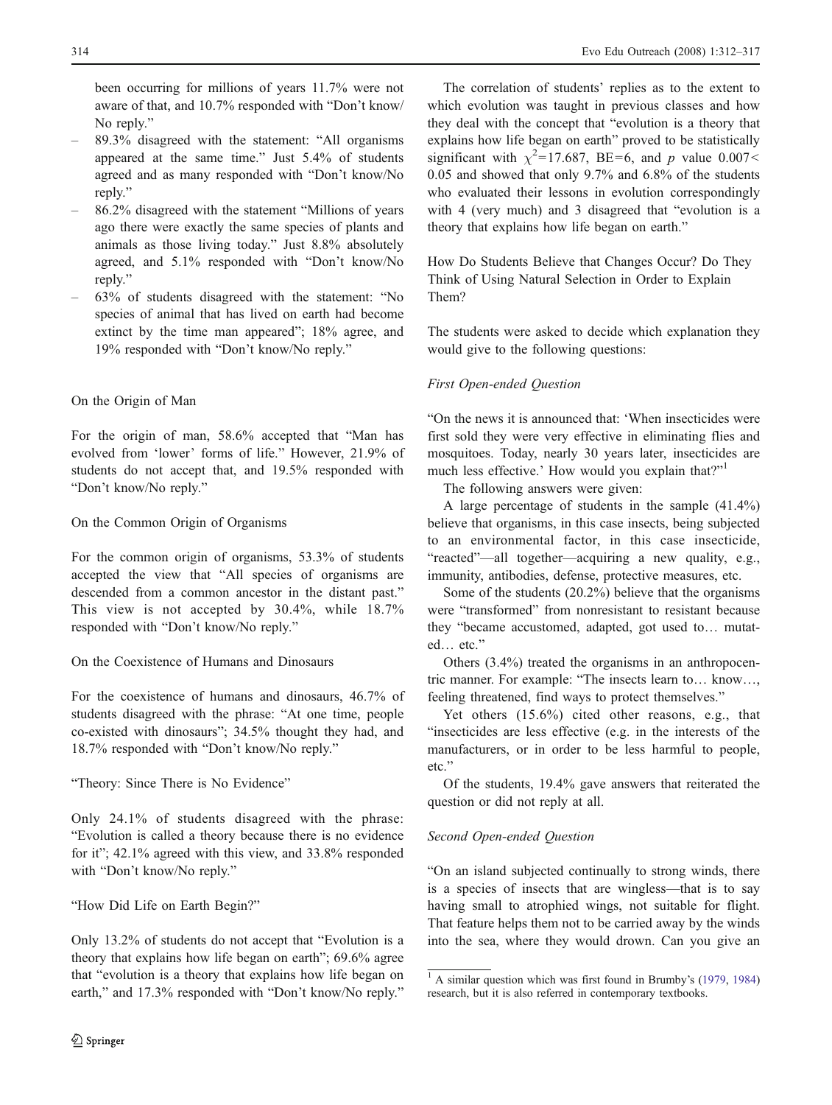been occurring for millions of years 11.7% were not aware of that, and 10.7% responded with "Don't know/ No reply."

- 89.3% disagreed with the statement: "All organisms appeared at the same time." Just 5.4% of students agreed and as many responded with "Don't know/No reply."
- 86.2% disagreed with the statement "Millions of years ago there were exactly the same species of plants and animals as those living today." Just 8.8% absolutely agreed, and 5.1% responded with "Don't know/No reply."
- 63% of students disagreed with the statement: "No species of animal that has lived on earth had become extinct by the time man appeared"; 18% agree, and 19% responded with "Don't know/No reply."

## On the Origin of Man

For the origin of man, 58.6% accepted that "Man has evolved from 'lower' forms of life." However, 21.9% of students do not accept that, and 19.5% responded with "Don't know/No reply."

On the Common Origin of Organisms

For the common origin of organisms, 53.3% of students accepted the view that "All species of organisms are descended from a common ancestor in the distant past." This view is not accepted by 30.4%, while 18.7% responded with "Don't know/No reply."

On the Coexistence of Humans and Dinosaurs

For the coexistence of humans and dinosaurs, 46.7% of students disagreed with the phrase: "At one time, people co-existed with dinosaurs"; 34.5% thought they had, and 18.7% responded with "Don't know/No reply."

"Theory: Since There is No Evidence"

Only 24.1% of students disagreed with the phrase: "Evolution is called a theory because there is no evidence for it"; 42.1% agreed with this view, and 33.8% responded with "Don't know/No reply."

"How Did Life on Earth Begin?"

Only 13.2% of students do not accept that "Evolution is a theory that explains how life began on earth"; 69.6% agree that "evolution is a theory that explains how life began on earth," and 17.3% responded with "Don't know/No reply."

The correlation of students' replies as to the extent to which evolution was taught in previous classes and how they deal with the concept that "evolution is a theory that explains how life began on earth" proved to be statistically significant with  $\chi^2$ =17.687, BE=6, and p value 0.007< 0.05 and showed that only 9.7% and 6.8% of the students who evaluated their lessons in evolution correspondingly with 4 (very much) and 3 disagreed that "evolution is a theory that explains how life began on earth."

How Do Students Believe that Changes Occur? Do They Think of Using Natural Selection in Order to Explain Them?

The students were asked to decide which explanation they would give to the following questions:

## First Open-ended Question

"On the news it is announced that: 'When insecticides were first sold they were very effective in eliminating flies and mosquitoes. Today, nearly 30 years later, insecticides are much less effective.' How would you explain that?"<sup>1</sup>

The following answers were given:

A large percentage of students in the sample (41.4%) believe that organisms, in this case insects, being subjected to an environmental factor, in this case insecticide, "reacted"—all together—acquiring a new quality, e.g., immunity, antibodies, defense, protective measures, etc.

Some of the students (20.2%) believe that the organisms were "transformed" from nonresistant to resistant because they "became accustomed, adapted, got used to… mutated… etc."

Others (3.4%) treated the organisms in an anthropocentric manner. For example: "The insects learn to… know…, feeling threatened, find ways to protect themselves."

Yet others (15.6%) cited other reasons, e.g., that "insecticides are less effective (e.g. in the interests of the manufacturers, or in order to be less harmful to people, etc."

Of the students, 19.4% gave answers that reiterated the question or did not reply at all.

#### Second Open-ended Question

"On an island subjected continually to strong winds, there is a species of insects that are wingless—that is to say having small to atrophied wings, not suitable for flight. That feature helps them not to be carried away by the winds into the sea, where they would drown. Can you give an

 $<sup>1</sup>$  A similar question which was first found in Brumby's ([1979,](#page-5-0) [1984\)](#page-5-0)</sup> research, but it is also referred in contemporary textbooks.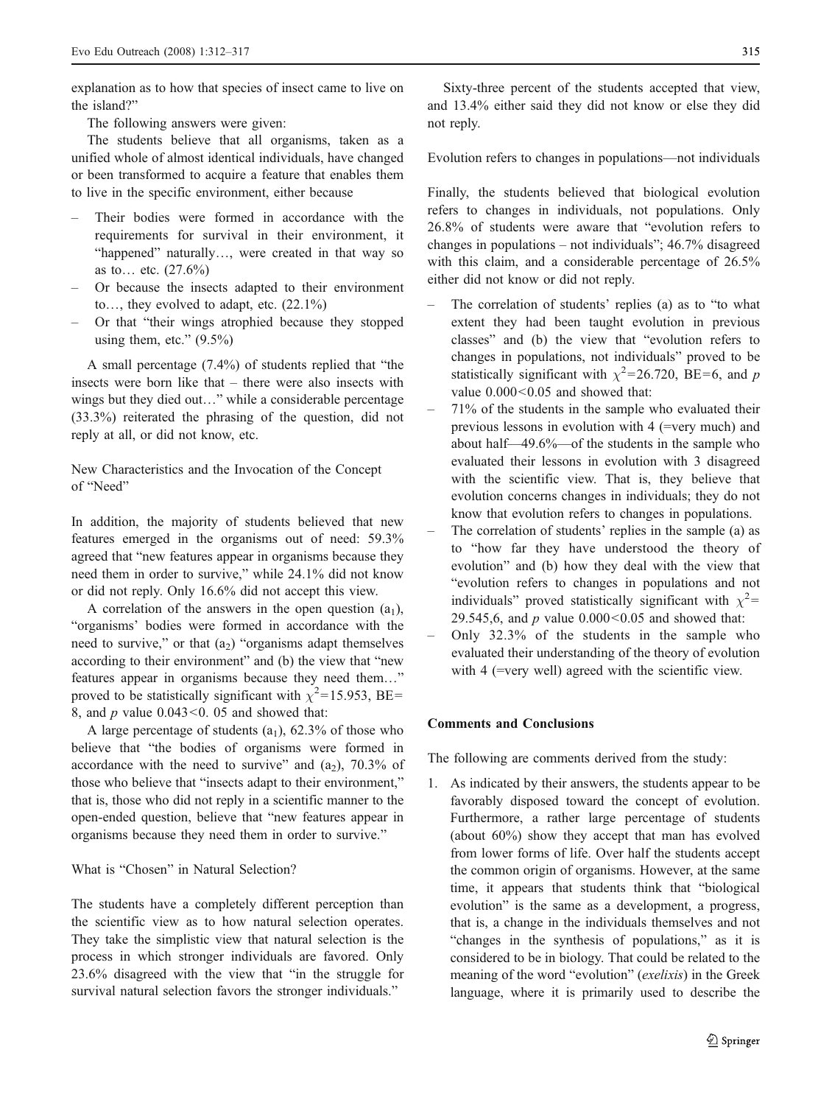explanation as to how that species of insect came to live on the island?"

The following answers were given:

The students believe that all organisms, taken as a unified whole of almost identical individuals, have changed or been transformed to acquire a feature that enables them to live in the specific environment, either because

- Their bodies were formed in accordance with the requirements for survival in their environment, it "happened" naturally…, were created in that way so as to… etc. (27.6%)
- Or because the insects adapted to their environment to..., they evolved to adapt, etc.  $(22.1\%)$
- Or that "their wings atrophied because they stopped using them, etc."  $(9.5\%)$

A small percentage (7.4%) of students replied that "the insects were born like that – there were also insects with wings but they died out…" while a considerable percentage (33.3%) reiterated the phrasing of the question, did not reply at all, or did not know, etc.

New Characteristics and the Invocation of the Concept of "Need"

In addition, the majority of students believed that new features emerged in the organisms out of need: 59.3% agreed that "new features appear in organisms because they need them in order to survive," while 24.1% did not know or did not reply. Only 16.6% did not accept this view.

A correlation of the answers in the open question  $(a_1)$ , "organisms' bodies were formed in accordance with the need to survive," or that  $(a_2)$  "organisms adapt themselves" according to their environment" and (b) the view that "new features appear in organisms because they need them…" proved to be statistically significant with  $\chi^2$ =15.953, BE= 8, and  $p$  value 0.043 < 0.05 and showed that:

A large percentage of students  $(a_1)$ , 62.3% of those who believe that "the bodies of organisms were formed in accordance with the need to survive" and  $(a_2)$ , 70.3% of those who believe that "insects adapt to their environment," that is, those who did not reply in a scientific manner to the open-ended question, believe that "new features appear in organisms because they need them in order to survive."

## What is "Chosen" in Natural Selection?

The students have a completely different perception than the scientific view as to how natural selection operates. They take the simplistic view that natural selection is the process in which stronger individuals are favored. Only 23.6% disagreed with the view that "in the struggle for survival natural selection favors the stronger individuals."

Sixty-three percent of the students accepted that view, and 13.4% either said they did not know or else they did not reply.

Evolution refers to changes in populations—not individuals

Finally, the students believed that biological evolution refers to changes in individuals, not populations. Only 26.8% of students were aware that "evolution refers to changes in populations – not individuals"; 46.7% disagreed with this claim, and a considerable percentage of 26.5% either did not know or did not reply.

- The correlation of students' replies (a) as to "to what extent they had been taught evolution in previous classes" and (b) the view that "evolution refers to changes in populations, not individuals" proved to be statistically significant with  $\chi^2$ =26.720, BE=6, and p value  $0.000<0.05$  and showed that:
- 71% of the students in the sample who evaluated their previous lessons in evolution with 4 (=very much) and about half—49.6%—of the students in the sample who evaluated their lessons in evolution with 3 disagreed with the scientific view. That is, they believe that evolution concerns changes in individuals; they do not know that evolution refers to changes in populations.
- The correlation of students' replies in the sample (a) as to "how far they have understood the theory of evolution" and (b) how they deal with the view that "evolution refers to changes in populations and not individuals" proved statistically significant with  $\chi^2$ = 29.545,6, and  $p$  value 0.000 < 0.05 and showed that:
- Only 32.3% of the students in the sample who evaluated their understanding of the theory of evolution with 4 (=very well) agreed with the scientific view.

## Comments and Conclusions

The following are comments derived from the study:

1. As indicated by their answers, the students appear to be favorably disposed toward the concept of evolution. Furthermore, a rather large percentage of students (about 60%) show they accept that man has evolved from lower forms of life. Over half the students accept the common origin of organisms. However, at the same time, it appears that students think that "biological evolution" is the same as a development, a progress, that is, a change in the individuals themselves and not "changes in the synthesis of populations," as it is considered to be in biology. That could be related to the meaning of the word "evolution" (exelixis) in the Greek language, where it is primarily used to describe the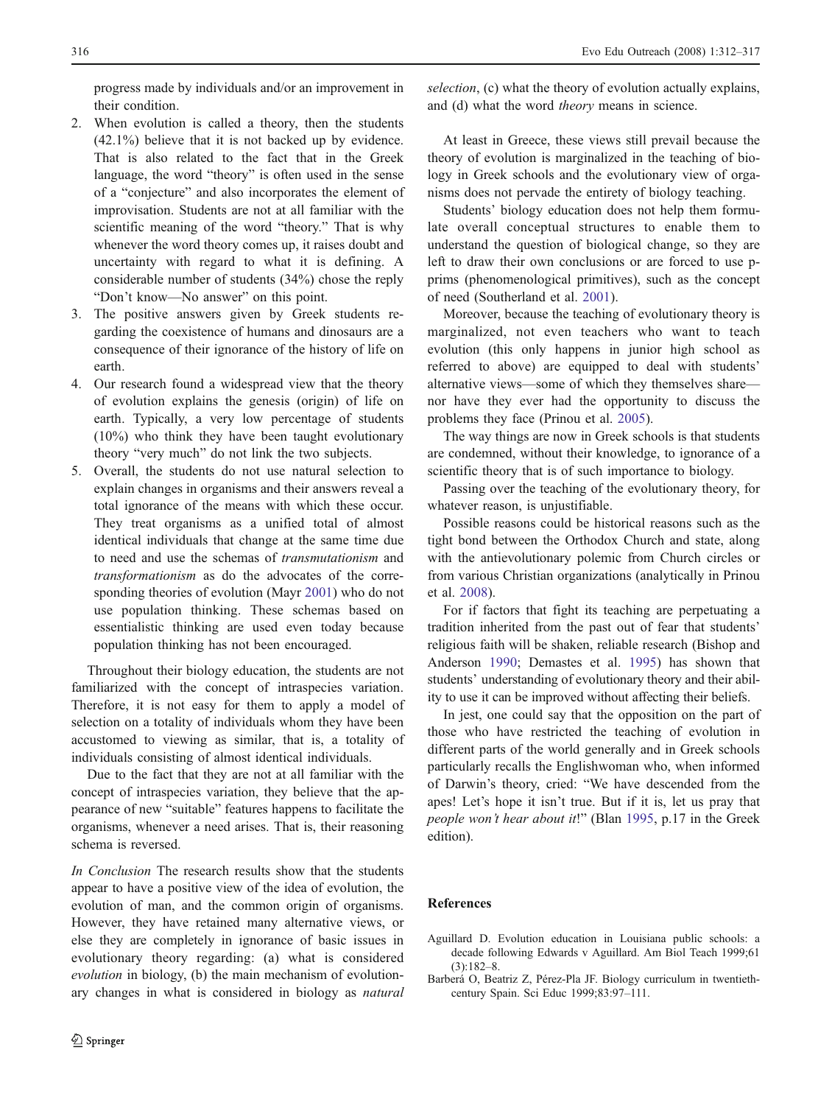<span id="page-4-0"></span>progress made by individuals and/or an improvement in their condition.

- 2. When evolution is called a theory, then the students (42.1%) believe that it is not backed up by evidence. That is also related to the fact that in the Greek language, the word "theory" is often used in the sense of a "conjecture" and also incorporates the element of improvisation. Students are not at all familiar with the scientific meaning of the word "theory." That is why whenever the word theory comes up, it raises doubt and uncertainty with regard to what it is defining. A considerable number of students (34%) chose the reply "Don't know—No answer" on this point.
- 3. The positive answers given by Greek students regarding the coexistence of humans and dinosaurs are a consequence of their ignorance of the history of life on earth.
- 4. Our research found a widespread view that the theory of evolution explains the genesis (origin) of life on earth. Typically, a very low percentage of students (10%) who think they have been taught evolutionary theory "very much" do not link the two subjects.
- 5. Overall, the students do not use natural selection to explain changes in organisms and their answers reveal a total ignorance of the means with which these occur. They treat organisms as a unified total of almost identical individuals that change at the same time due to need and use the schemas of transmutationism and transformationism as do the advocates of the corresponding theories of evolution (Mayr [2001](#page-5-0)) who do not use population thinking. These schemas based on essentialistic thinking are used even today because population thinking has not been encouraged.

Throughout their biology education, the students are not familiarized with the concept of intraspecies variation. Therefore, it is not easy for them to apply a model of selection on a totality of individuals whom they have been accustomed to viewing as similar, that is, a totality of individuals consisting of almost identical individuals.

Due to the fact that they are not at all familiar with the concept of intraspecies variation, they believe that the appearance of new "suitable" features happens to facilitate the organisms, whenever a need arises. That is, their reasoning schema is reversed.

In Conclusion The research results show that the students appear to have a positive view of the idea of evolution, the evolution of man, and the common origin of organisms. However, they have retained many alternative views, or else they are completely in ignorance of basic issues in evolutionary theory regarding: (a) what is considered evolution in biology, (b) the main mechanism of evolutionary changes in what is considered in biology as natural selection, (c) what the theory of evolution actually explains, and (d) what the word theory means in science.

At least in Greece, these views still prevail because the theory of evolution is marginalized in the teaching of biology in Greek schools and the evolutionary view of organisms does not pervade the entirety of biology teaching.

Students' biology education does not help them formulate overall conceptual structures to enable them to understand the question of biological change, so they are left to draw their own conclusions or are forced to use pprims (phenomenological primitives), such as the concept of need (Southerland et al. [2001](#page-5-0)).

Moreover, because the teaching of evolutionary theory is marginalized, not even teachers who want to teach evolution (this only happens in junior high school as referred to above) are equipped to deal with students' alternative views—some of which they themselves share nor have they ever had the opportunity to discuss the problems they face (Prinou et al. [2005](#page-5-0)).

The way things are now in Greek schools is that students are condemned, without their knowledge, to ignorance of a scientific theory that is of such importance to biology.

Passing over the teaching of the evolutionary theory, for whatever reason, is unjustifiable.

Possible reasons could be historical reasons such as the tight bond between the Orthodox Church and state, along with the antievolutionary polemic from Church circles or from various Christian organizations (analytically in Prinou et al. [2008](#page-5-0)).

For if factors that fight its teaching are perpetuating a tradition inherited from the past out of fear that students' religious faith will be shaken, reliable research (Bishop and Anderson [1990](#page-5-0); Demastes et al. [1995](#page-5-0)) has shown that students' understanding of evolutionary theory and their ability to use it can be improved without affecting their beliefs.

In jest, one could say that the opposition on the part of those who have restricted the teaching of evolution in different parts of the world generally and in Greek schools particularly recalls the Englishwoman who, when informed of Darwin's theory, cried: "We have descended from the apes! Let's hope it isn't true. But if it is, let us pray that people won't hear about it!" (Blan [1995](#page-5-0), p.17 in the Greek edition).

#### References

- Aguillard D. Evolution education in Louisiana public schools: a decade following Edwards v Aguillard. Am Biol Teach 1999;61  $(3):182-8.$
- Barberá O, Beatriz Z, Pérez-Pla JF. Biology curriculum in twentiethcentury Spain. Sci Educ 1999;83:97–111.